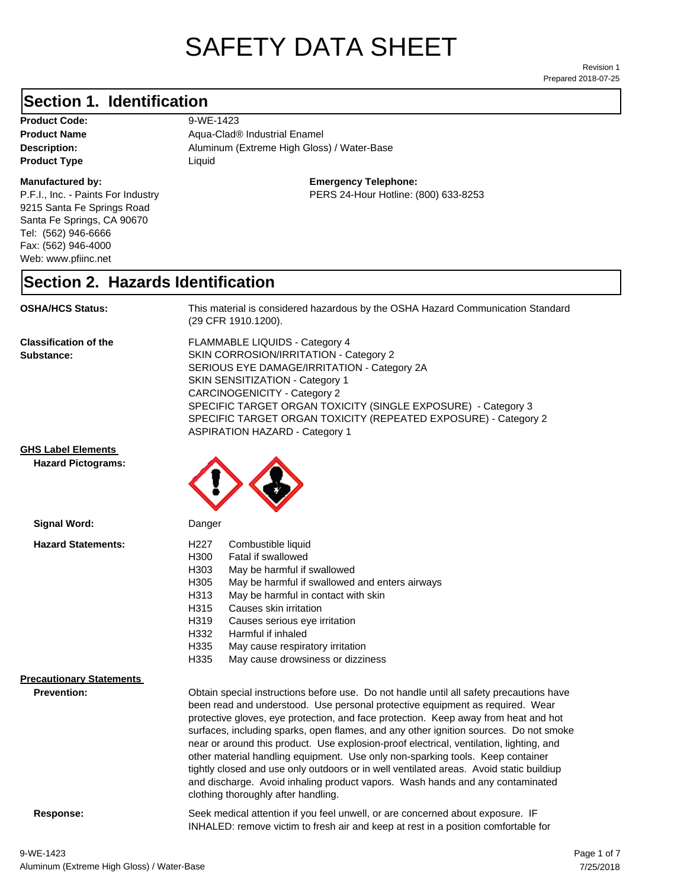# SAFETY DATA SHEET

Prepared 2018-07-25 Revision 1

#### **Section 1. Identification**

**Product Code:** 9-WE-1423 **Product Type Liquid Liquid** 

#### **Manufactured by:**

P.F.I., Inc. - Paints For Industry 9215 Santa Fe Springs Road Santa Fe Springs, CA 90670 Tel: (562) 946-6666 Fax: (562) 946-4000 Web: www.pfiinc.net

Description: **Description:** Aluminum (Extreme High Gloss) / Water-Base **Product Name** Aqua-Clad<sup>®</sup> Industrial Enamel

**Emergency Telephone:**

PERS 24-Hour Hotline: (800) 633-8253

#### **Section 2. Hazards Identification**

**OSHA/HCS Status:** This material is considered hazardous by the OSHA Hazard Communication Standard (29 CFR 1910.1200).

**Classification of the Substance:**

FLAMMABLE LIQUIDS - Category 4 SKIN CORROSION/IRRITATION - Category 2 SERIOUS EYE DAMAGE/IRRITATION - Category 2A SKIN SENSITIZATION - Category 1 CARCINOGENICITY - Category 2 SPECIFIC TARGET ORGAN TOXICITY (SINGLE EXPOSURE) - Category 3 SPECIFIC TARGET ORGAN TOXICITY (REPEATED EXPOSURE) - Category 2 ASPIRATION HAZARD - Category 1

**GHS Label Elements**

**Hazard Pictograms:**



| <b>Signal Word:</b>                                   | Danger                                                                                                                                                                                                                                                                                                                                                                                                                                                                                                                                                                                                                                                                                                                                                   |  |
|-------------------------------------------------------|----------------------------------------------------------------------------------------------------------------------------------------------------------------------------------------------------------------------------------------------------------------------------------------------------------------------------------------------------------------------------------------------------------------------------------------------------------------------------------------------------------------------------------------------------------------------------------------------------------------------------------------------------------------------------------------------------------------------------------------------------------|--|
| <b>Hazard Statements:</b>                             | H227<br>Combustible liquid<br>H300<br>Fatal if swallowed<br>H303<br>May be harmful if swallowed<br>H305<br>May be harmful if swallowed and enters airways<br>H313<br>May be harmful in contact with skin<br>H315<br>Causes skin irritation<br>H319<br>Causes serious eye irritation<br>H332<br>Harmful if inhaled<br>H335<br>May cause respiratory irritation<br>H335<br>May cause drowsiness or dizziness                                                                                                                                                                                                                                                                                                                                               |  |
| <b>Precautionary Statements</b><br><b>Prevention:</b> | Obtain special instructions before use. Do not handle until all safety precautions have<br>been read and understood. Use personal protective equipment as required. Wear<br>protective gloves, eye protection, and face protection. Keep away from heat and hot<br>surfaces, including sparks, open flames, and any other ignition sources. Do not smoke<br>near or around this product. Use explosion-proof electrical, ventilation, lighting, and<br>other material handling equipment. Use only non-sparking tools. Keep container<br>tightly closed and use only outdoors or in well ventilated areas. Avoid static buildiup<br>and discharge. Avoid inhaling product vapors. Wash hands and any contaminated<br>clothing thoroughly after handling. |  |

**Response:** Seek medical attention if you feel unwell, or are concerned about exposure. IF INHALED: remove victim to fresh air and keep at rest in a position comfortable for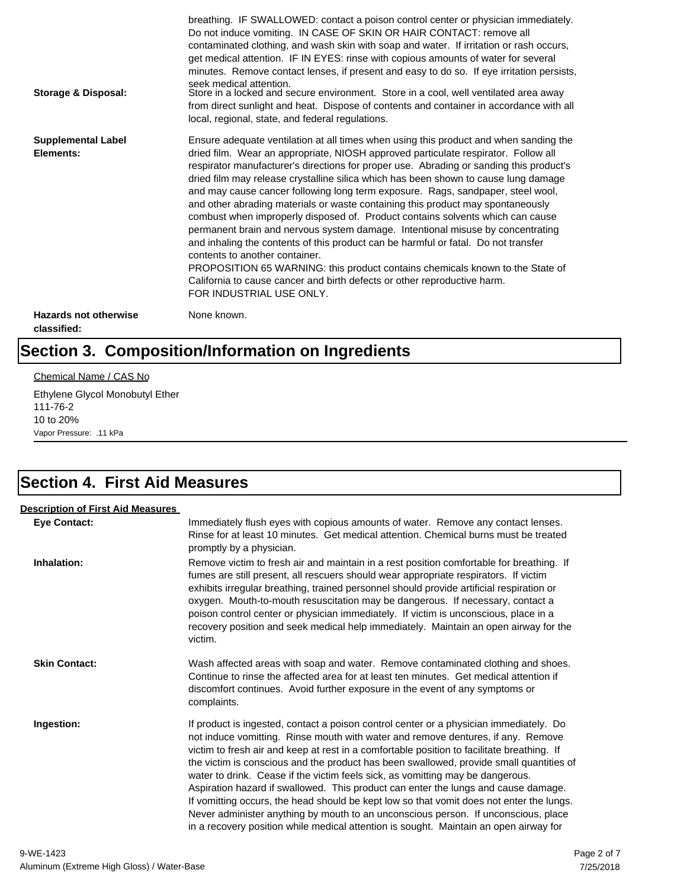| <b>Storage &amp; Disposal:</b>              | breathing. IF SWALLOWED: contact a poison control center or physician immediately.<br>Do not induce vomiting. IN CASE OF SKIN OR HAIR CONTACT: remove all<br>contaminated clothing, and wash skin with soap and water. If irritation or rash occurs,<br>get medical attention. IF IN EYES: rinse with copious amounts of water for several<br>minutes. Remove contact lenses, if present and easy to do so. If eye irritation persists,<br>seek medical attention.<br>Store in a locked and secure environment. Store in a cool, well ventilated area away<br>from direct sunlight and heat. Dispose of contents and container in accordance with all<br>local, regional, state, and federal regulations.                                                                                                                                                                                                                                                                                                                |
|---------------------------------------------|--------------------------------------------------------------------------------------------------------------------------------------------------------------------------------------------------------------------------------------------------------------------------------------------------------------------------------------------------------------------------------------------------------------------------------------------------------------------------------------------------------------------------------------------------------------------------------------------------------------------------------------------------------------------------------------------------------------------------------------------------------------------------------------------------------------------------------------------------------------------------------------------------------------------------------------------------------------------------------------------------------------------------|
| <b>Supplemental Label</b><br>Elements:      | Ensure adequate ventilation at all times when using this product and when sanding the<br>dried film. Wear an appropriate, NIOSH approved particulate respirator. Follow all<br>respirator manufacturer's directions for proper use. Abrading or sanding this product's<br>dried film may release crystalline silica which has been shown to cause lung damage<br>and may cause cancer following long term exposure. Rags, sandpaper, steel wool,<br>and other abrading materials or waste containing this product may spontaneously<br>combust when improperly disposed of. Product contains solvents which can cause<br>permanent brain and nervous system damage. Intentional misuse by concentrating<br>and inhaling the contents of this product can be harmful or fatal. Do not transfer<br>contents to another container.<br>PROPOSITION 65 WARNING: this product contains chemicals known to the State of<br>California to cause cancer and birth defects or other reproductive harm.<br>FOR INDUSTRIAL USE ONLY. |
| <b>Hazards not otherwise</b><br>classified: | None known.                                                                                                                                                                                                                                                                                                                                                                                                                                                                                                                                                                                                                                                                                                                                                                                                                                                                                                                                                                                                              |

# **Section 3. Composition/Information on Ingredients**

#### Chemical Name / CAS No

Ethylene Glycol Monobutyl Ether 111-76-2 10 to 20% Vapor Pressure: .11 kPa

## **Section 4. First Aid Measures**

| <b>Description of First Aid Measures</b> |                                                                                                                                                                                                                                                                                                                                                                                                                                                                                                                                                                                                                                                                                                                                                                                                                        |
|------------------------------------------|------------------------------------------------------------------------------------------------------------------------------------------------------------------------------------------------------------------------------------------------------------------------------------------------------------------------------------------------------------------------------------------------------------------------------------------------------------------------------------------------------------------------------------------------------------------------------------------------------------------------------------------------------------------------------------------------------------------------------------------------------------------------------------------------------------------------|
| <b>Eye Contact:</b>                      | Immediately flush eyes with copious amounts of water. Remove any contact lenses.<br>Rinse for at least 10 minutes. Get medical attention. Chemical burns must be treated<br>promptly by a physician.                                                                                                                                                                                                                                                                                                                                                                                                                                                                                                                                                                                                                   |
| Inhalation:                              | Remove victim to fresh air and maintain in a rest position comfortable for breathing. If<br>fumes are still present, all rescuers should wear appropriate respirators. If victim<br>exhibits irregular breathing, trained personnel should provide artificial respiration or<br>oxygen. Mouth-to-mouth resuscitation may be dangerous. If necessary, contact a<br>poison control center or physician immediately. If victim is unconscious, place in a<br>recovery position and seek medical help immediately. Maintain an open airway for the<br>victim.                                                                                                                                                                                                                                                              |
| <b>Skin Contact:</b>                     | Wash affected areas with soap and water. Remove contaminated clothing and shoes.<br>Continue to rinse the affected area for at least ten minutes. Get medical attention if<br>discomfort continues. Avoid further exposure in the event of any symptoms or<br>complaints.                                                                                                                                                                                                                                                                                                                                                                                                                                                                                                                                              |
| Ingestion:                               | If product is ingested, contact a poison control center or a physician immediately. Do<br>not induce vomitting. Rinse mouth with water and remove dentures, if any. Remove<br>victim to fresh air and keep at rest in a comfortable position to facilitate breathing. If<br>the victim is conscious and the product has been swallowed, provide small quantities of<br>water to drink. Cease if the victim feels sick, as vomitting may be dangerous.<br>Aspiration hazard if swallowed. This product can enter the lungs and cause damage.<br>If vomitting occurs, the head should be kept low so that vomit does not enter the lungs.<br>Never administer anything by mouth to an unconscious person. If unconscious, place<br>in a recovery position while medical attention is sought. Maintain an open airway for |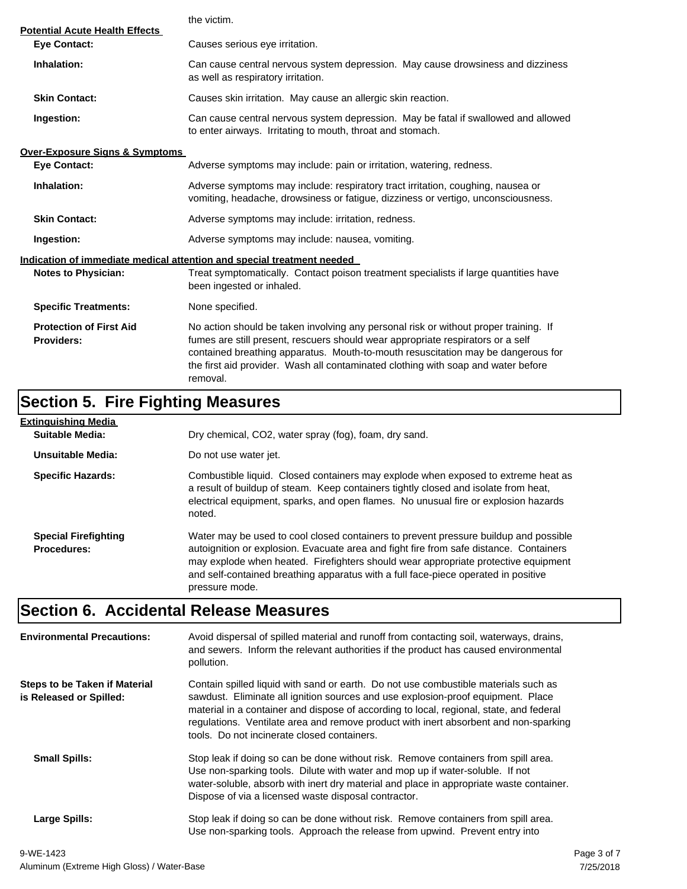|                                                              | the victim.                                                                                                                                                                                                                                                                                                                                                  |  |  |
|--------------------------------------------------------------|--------------------------------------------------------------------------------------------------------------------------------------------------------------------------------------------------------------------------------------------------------------------------------------------------------------------------------------------------------------|--|--|
| <b>Potential Acute Health Effects</b><br><b>Eye Contact:</b> | Causes serious eye irritation.                                                                                                                                                                                                                                                                                                                               |  |  |
| Inhalation:                                                  | Can cause central nervous system depression. May cause drowsiness and dizziness<br>as well as respiratory irritation.                                                                                                                                                                                                                                        |  |  |
| <b>Skin Contact:</b>                                         | Causes skin irritation. May cause an allergic skin reaction.                                                                                                                                                                                                                                                                                                 |  |  |
| Ingestion:                                                   | Can cause central nervous system depression. May be fatal if swallowed and allowed<br>to enter airways. Irritating to mouth, throat and stomach.                                                                                                                                                                                                             |  |  |
| <b>Over-Exposure Signs &amp; Symptoms</b>                    |                                                                                                                                                                                                                                                                                                                                                              |  |  |
| <b>Eye Contact:</b>                                          | Adverse symptoms may include: pain or irritation, watering, redness.                                                                                                                                                                                                                                                                                         |  |  |
| Inhalation:                                                  | Adverse symptoms may include: respiratory tract irritation, coughing, nausea or<br>vomiting, headache, drowsiness or fatigue, dizziness or vertigo, unconsciousness.                                                                                                                                                                                         |  |  |
| <b>Skin Contact:</b>                                         | Adverse symptoms may include: irritation, redness.                                                                                                                                                                                                                                                                                                           |  |  |
| Ingestion:                                                   | Adverse symptoms may include: nausea, vomiting.                                                                                                                                                                                                                                                                                                              |  |  |
|                                                              | Indication of immediate medical attention and special treatment needed                                                                                                                                                                                                                                                                                       |  |  |
| <b>Notes to Physician:</b>                                   | Treat symptomatically. Contact poison treatment specialists if large quantities have<br>been ingested or inhaled.                                                                                                                                                                                                                                            |  |  |
| <b>Specific Treatments:</b>                                  | None specified.                                                                                                                                                                                                                                                                                                                                              |  |  |
| <b>Protection of First Aid</b><br><b>Providers:</b>          | No action should be taken involving any personal risk or without proper training. If<br>fumes are still present, rescuers should wear appropriate respirators or a self<br>contained breathing apparatus. Mouth-to-mouth resuscitation may be dangerous for<br>the first aid provider. Wash all contaminated clothing with soap and water before<br>removal. |  |  |

# **Section 5. Fire Fighting Measures**

| Extinguishing Media                               |                                                                                                                                                                                                                                                                                                                                                                              |
|---------------------------------------------------|------------------------------------------------------------------------------------------------------------------------------------------------------------------------------------------------------------------------------------------------------------------------------------------------------------------------------------------------------------------------------|
| Suitable Media:                                   | Dry chemical, CO2, water spray (fog), foam, dry sand.                                                                                                                                                                                                                                                                                                                        |
| Unsuitable Media:                                 | Do not use water jet.                                                                                                                                                                                                                                                                                                                                                        |
| <b>Specific Hazards:</b>                          | Combustible liquid. Closed containers may explode when exposed to extreme heat as<br>a result of buildup of steam. Keep containers tightly closed and isolate from heat,<br>electrical equipment, sparks, and open flames. No unusual fire or explosion hazards<br>noted.                                                                                                    |
| <b>Special Firefighting</b><br><b>Procedures:</b> | Water may be used to cool closed containers to prevent pressure buildup and possible<br>autoignition or explosion. Evacuate area and fight fire from safe distance. Containers<br>may explode when heated. Firefighters should wear appropriate protective equipment<br>and self-contained breathing apparatus with a full face-piece operated in positive<br>pressure mode. |

# **Section 6. Accidental Release Measures**

| <b>Environmental Precautions:</b>                               | Avoid dispersal of spilled material and runoff from contacting soil, waterways, drains,<br>and sewers. Inform the relevant authorities if the product has caused environmental<br>pollution.                                                                                                                                                                                                              |
|-----------------------------------------------------------------|-----------------------------------------------------------------------------------------------------------------------------------------------------------------------------------------------------------------------------------------------------------------------------------------------------------------------------------------------------------------------------------------------------------|
| <b>Steps to be Taken if Material</b><br>is Released or Spilled: | Contain spilled liquid with sand or earth. Do not use combustible materials such as<br>sawdust. Eliminate all ignition sources and use explosion-proof equipment. Place<br>material in a container and dispose of according to local, regional, state, and federal<br>regulations. Ventilate area and remove product with inert absorbent and non-sparking<br>tools. Do not incinerate closed containers. |
| <b>Small Spills:</b>                                            | Stop leak if doing so can be done without risk. Remove containers from spill area.<br>Use non-sparking tools. Dilute with water and mop up if water-soluble. If not<br>water-soluble, absorb with inert dry material and place in appropriate waste container.<br>Dispose of via a licensed waste disposal contractor.                                                                                    |
| Large Spills:                                                   | Stop leak if doing so can be done without risk. Remove containers from spill area.<br>Use non-sparking tools. Approach the release from upwind. Prevent entry into                                                                                                                                                                                                                                        |
|                                                                 |                                                                                                                                                                                                                                                                                                                                                                                                           |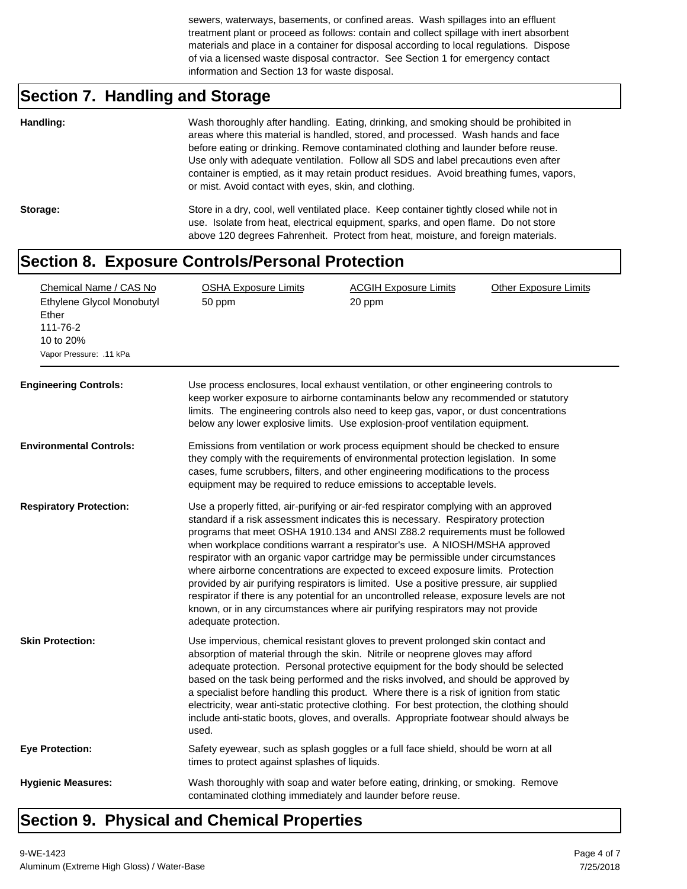sewers, waterways, basements, or confined areas. Wash spillages into an effluent treatment plant or proceed as follows: contain and collect spillage with inert absorbent materials and place in a container for disposal according to local regulations. Dispose of via a licensed waste disposal contractor. See Section 1 for emergency contact information and Section 13 for waste disposal.

# **Section 7. Handling and Storage**

| Handling: | Wash thoroughly after handling. Eating, drinking, and smoking should be prohibited in<br>areas where this material is handled, stored, and processed. Wash hands and face<br>before eating or drinking. Remove contaminated clothing and launder before reuse.<br>Use only with adequate ventilation. Follow all SDS and label precautions even after<br>container is emptied, as it may retain product residues. Avoid breathing fumes, vapors,<br>or mist. Avoid contact with eyes, skin, and clothing. |
|-----------|-----------------------------------------------------------------------------------------------------------------------------------------------------------------------------------------------------------------------------------------------------------------------------------------------------------------------------------------------------------------------------------------------------------------------------------------------------------------------------------------------------------|
| Storage:  | Store in a dry, cool, well ventilated place. Keep container tightly closed while not in<br>use. Isolate from heat, electrical equipment, sparks, and open flame. Do not store<br>above 120 degrees Fahrenheit. Protect from heat, moisture, and foreign materials.                                                                                                                                                                                                                                        |

#### **Section 8. Exposure Controls/Personal Protection**

| Chemical Name / CAS No<br>Ethylene Glycol Monobutyl<br>Ether<br>111-76-2<br>10 to 20%<br>Vapor Pressure: .11 kPa<br><b>Engineering Controls:</b> | <b>OSHA Exposure Limits</b><br>50 ppm                                                                                                                                                                                                                                                                                               | <b>ACGIH Exposure Limits</b><br>20 ppm<br>Use process enclosures, local exhaust ventilation, or other engineering controls to<br>keep worker exposure to airborne contaminants below any recommended or statutory<br>limits. The engineering controls also need to keep gas, vapor, or dust concentrations<br>below any lower explosive limits. Use explosion-proof ventilation equipment.                                                                                                                                                                                                                                                                                                                                                                                                    | <b>Other Exposure Limits</b> |
|--------------------------------------------------------------------------------------------------------------------------------------------------|-------------------------------------------------------------------------------------------------------------------------------------------------------------------------------------------------------------------------------------------------------------------------------------------------------------------------------------|-----------------------------------------------------------------------------------------------------------------------------------------------------------------------------------------------------------------------------------------------------------------------------------------------------------------------------------------------------------------------------------------------------------------------------------------------------------------------------------------------------------------------------------------------------------------------------------------------------------------------------------------------------------------------------------------------------------------------------------------------------------------------------------------------|------------------------------|
| <b>Environmental Controls:</b>                                                                                                                   | Emissions from ventilation or work process equipment should be checked to ensure<br>they comply with the requirements of environmental protection legislation. In some<br>cases, fume scrubbers, filters, and other engineering modifications to the process<br>equipment may be required to reduce emissions to acceptable levels. |                                                                                                                                                                                                                                                                                                                                                                                                                                                                                                                                                                                                                                                                                                                                                                                               |                              |
| <b>Respiratory Protection:</b>                                                                                                                   | adequate protection.                                                                                                                                                                                                                                                                                                                | Use a properly fitted, air-purifying or air-fed respirator complying with an approved<br>standard if a risk assessment indicates this is necessary. Respiratory protection<br>programs that meet OSHA 1910.134 and ANSI Z88.2 requirements must be followed<br>when workplace conditions warrant a respirator's use. A NIOSH/MSHA approved<br>respirator with an organic vapor cartridge may be permissible under circumstances<br>where airborne concentrations are expected to exceed exposure limits. Protection<br>provided by air purifying respirators is limited. Use a positive pressure, air supplied<br>respirator if there is any potential for an uncontrolled release, exposure levels are not<br>known, or in any circumstances where air purifying respirators may not provide |                              |
| <b>Skin Protection:</b>                                                                                                                          | used.                                                                                                                                                                                                                                                                                                                               | Use impervious, chemical resistant gloves to prevent prolonged skin contact and<br>absorption of material through the skin. Nitrile or neoprene gloves may afford<br>adequate protection. Personal protective equipment for the body should be selected<br>based on the task being performed and the risks involved, and should be approved by<br>a specialist before handling this product. Where there is a risk of ignition from static<br>electricity, wear anti-static protective clothing. For best protection, the clothing should<br>include anti-static boots, gloves, and overalls. Appropriate footwear should always be                                                                                                                                                           |                              |
| <b>Eye Protection:</b>                                                                                                                           | times to protect against splashes of liquids.                                                                                                                                                                                                                                                                                       | Safety eyewear, such as splash goggles or a full face shield, should be worn at all                                                                                                                                                                                                                                                                                                                                                                                                                                                                                                                                                                                                                                                                                                           |                              |
| <b>Hygienic Measures:</b>                                                                                                                        | contaminated clothing immediately and launder before reuse.                                                                                                                                                                                                                                                                         | Wash thoroughly with soap and water before eating, drinking, or smoking. Remove                                                                                                                                                                                                                                                                                                                                                                                                                                                                                                                                                                                                                                                                                                               |                              |

### **Section 9. Physical and Chemical Properties**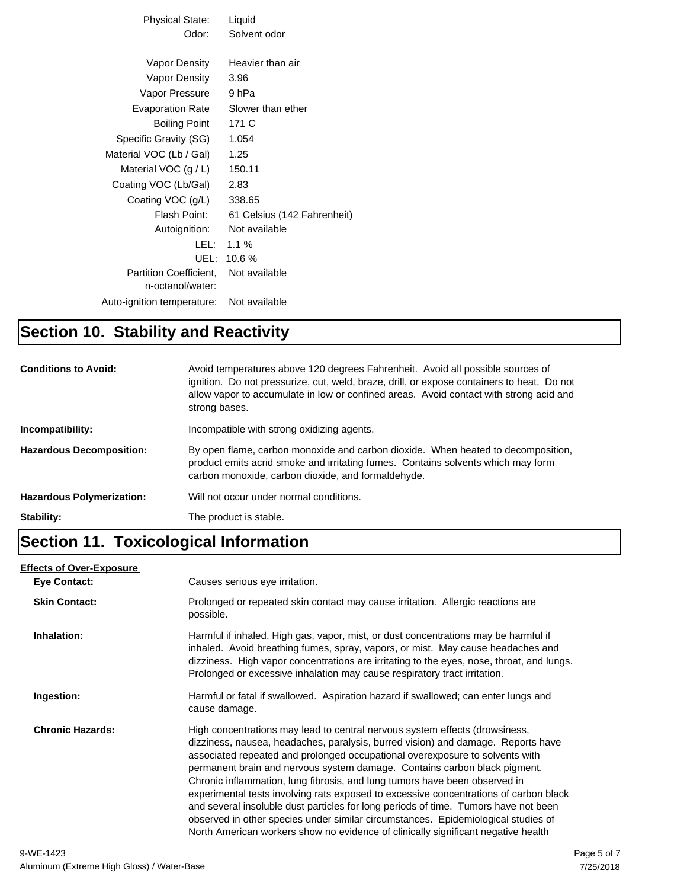| Physical State:           | Liquid                      |
|---------------------------|-----------------------------|
| Odor:                     | Solvent odor                |
|                           |                             |
| Vapor Density             | Heavier than air            |
| Vapor Density             | 3.96                        |
| Vapor Pressure            | 9 hPa                       |
| <b>Evaporation Rate</b>   | Slower than ether           |
| <b>Boiling Point</b>      | 171 C                       |
| Specific Gravity (SG)     | 1.054                       |
| Material VOC (Lb / Gal)   | 1.25                        |
| Material VOC $(g/L)$      | 150.11                      |
| Coating VOC (Lb/Gal)      | 2.83                        |
| Coating VOC (g/L)         | 338.65                      |
| Flash Point:              | 61 Celsius (142 Fahrenheit) |
| Autoignition:             | Not available               |
| LEL: L                    | 1.1%                        |
| UEL:                      | 10.6%                       |
| Partition Coefficient.    | Not available               |
| n-octanol/water:          |                             |
| Auto-ignition temperature | Not available               |

#### **Section 10. Stability and Reactivity**

| <b>Conditions to Avoid:</b>      | Avoid temperatures above 120 degrees Fahrenheit. Avoid all possible sources of<br>ignition. Do not pressurize, cut, weld, braze, drill, or expose containers to heat. Do not<br>allow vapor to accumulate in low or confined areas. Avoid contact with strong acid and<br>strong bases. |
|----------------------------------|-----------------------------------------------------------------------------------------------------------------------------------------------------------------------------------------------------------------------------------------------------------------------------------------|
| Incompatibility:                 | Incompatible with strong oxidizing agents.                                                                                                                                                                                                                                              |
| <b>Hazardous Decomposition:</b>  | By open flame, carbon monoxide and carbon dioxide. When heated to decomposition,<br>product emits acrid smoke and irritating fumes. Contains solvents which may form<br>carbon monoxide, carbon dioxide, and formaldehyde.                                                              |
| <b>Hazardous Polymerization:</b> | Will not occur under normal conditions.                                                                                                                                                                                                                                                 |
| Stability:                       | The product is stable.                                                                                                                                                                                                                                                                  |

#### **Section 11. Toxicological Information**

#### **Eye Contact: Skin Contact:** Prolonged or repeated skin contact may cause irritation. Allergic reactions are possible. **Inhalation:** Harmful if inhaled. High gas, vapor, mist, or dust concentrations may be harmful if inhaled. Avoid breathing fumes, spray, vapors, or mist. May cause headaches and dizziness. High vapor concentrations are irritating to the eyes, nose, throat, and lungs. Prolonged or excessive inhalation may cause respiratory tract irritation. **Ingestion:** Harmful or fatal if swallowed. Aspiration hazard if swallowed; can enter lungs and cause damage. **Chronic Hazards:** High concentrations may lead to central nervous system effects (drowsiness, dizziness, nausea, headaches, paralysis, burred vision) and damage. Reports have associated repeated and prolonged occupational overexposure to solvents with permanent brain and nervous system damage. Contains carbon black pigment. Chronic inflammation, lung fibrosis, and lung tumors have been observed in experimental tests involving rats exposed to excessive concentrations of carbon black and several insoluble dust particles for long periods of time. Tumors have not been observed in other species under similar circumstances. Epidemiological studies of North American workers show no evidence of clinically significant negative health **Effects of Over-Exposure** Causes serious eye irritation. 9-WE-1423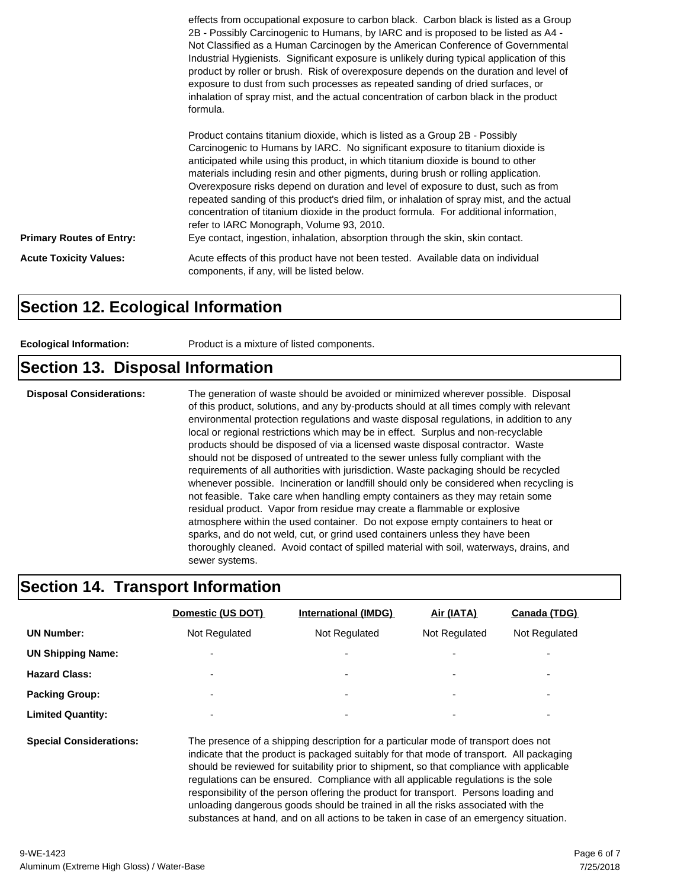|                                 | effects from occupational exposure to carbon black. Carbon black is listed as a Group<br>2B - Possibly Carcinogenic to Humans, by IARC and is proposed to be listed as A4 -<br>Not Classified as a Human Carcinogen by the American Conference of Governmental<br>Industrial Hygienists. Significant exposure is unlikely during typical application of this<br>product by roller or brush. Risk of overexposure depends on the duration and level of<br>exposure to dust from such processes as repeated sanding of dried surfaces, or<br>inhalation of spray mist, and the actual concentration of carbon black in the product<br>formula.                                                                                                        |
|---------------------------------|-----------------------------------------------------------------------------------------------------------------------------------------------------------------------------------------------------------------------------------------------------------------------------------------------------------------------------------------------------------------------------------------------------------------------------------------------------------------------------------------------------------------------------------------------------------------------------------------------------------------------------------------------------------------------------------------------------------------------------------------------------|
| <b>Primary Routes of Entry:</b> | Product contains titanium dioxide, which is listed as a Group 2B - Possibly<br>Carcinogenic to Humans by IARC. No significant exposure to titanium dioxide is<br>anticipated while using this product, in which titanium dioxide is bound to other<br>materials including resin and other pigments, during brush or rolling application.<br>Overexposure risks depend on duration and level of exposure to dust, such as from<br>repeated sanding of this product's dried film, or inhalation of spray mist, and the actual<br>concentration of titanium dioxide in the product formula. For additional information,<br>refer to IARC Monograph, Volume 93, 2010.<br>Eye contact, ingestion, inhalation, absorption through the skin, skin contact. |
| <b>Acute Toxicity Values:</b>   | Acute effects of this product have not been tested. Available data on individual<br>components, if any, will be listed below.                                                                                                                                                                                                                                                                                                                                                                                                                                                                                                                                                                                                                       |

#### **Section 12. Ecological Information**

| Product is a mixture of listed components.<br><b>Ecological Information:</b> |  |
|------------------------------------------------------------------------------|--|
|------------------------------------------------------------------------------|--|

#### **Section 13. Disposal Information**

**Disposal Considerations:** The generation of waste should be avoided or minimized wherever possible. Disposal of this product, solutions, and any by-products should at all times comply with relevant environmental protection regulations and waste disposal regulations, in addition to any local or regional restrictions which may be in effect. Surplus and non-recyclable products should be disposed of via a licensed waste disposal contractor. Waste should not be disposed of untreated to the sewer unless fully compliant with the requirements of all authorities with jurisdiction. Waste packaging should be recycled whenever possible. Incineration or landfill should only be considered when recycling is not feasible. Take care when handling empty containers as they may retain some residual product. Vapor from residue may create a flammable or explosive atmosphere within the used container. Do not expose empty containers to heat or sparks, and do not weld, cut, or grind used containers unless they have been thoroughly cleaned. Avoid contact of spilled material with soil, waterways, drains, and sewer systems.

#### **Section 14. Transport Information**

|                                | Domestic (US DOT)                                                                                                                                                                                                                                                                                                                                                                                                                                                                                             | International (IMDG)     | Air (IATA)    | Canada (TDG)             |
|--------------------------------|---------------------------------------------------------------------------------------------------------------------------------------------------------------------------------------------------------------------------------------------------------------------------------------------------------------------------------------------------------------------------------------------------------------------------------------------------------------------------------------------------------------|--------------------------|---------------|--------------------------|
| <b>UN Number:</b>              | Not Regulated                                                                                                                                                                                                                                                                                                                                                                                                                                                                                                 | Not Regulated            | Not Regulated | Not Regulated            |
| <b>UN Shipping Name:</b>       |                                                                                                                                                                                                                                                                                                                                                                                                                                                                                                               |                          |               |                          |
| <b>Hazard Class:</b>           |                                                                                                                                                                                                                                                                                                                                                                                                                                                                                                               | $\overline{\phantom{0}}$ |               | -                        |
| <b>Packing Group:</b>          |                                                                                                                                                                                                                                                                                                                                                                                                                                                                                                               | $\overline{\phantom{a}}$ |               | $\overline{\phantom{0}}$ |
| <b>Limited Quantity:</b>       |                                                                                                                                                                                                                                                                                                                                                                                                                                                                                                               |                          |               |                          |
| <b>Special Considerations:</b> | The presence of a shipping description for a particular mode of transport does not<br>indicate that the product is packaged suitably for that mode of transport. All packaging<br>should be reviewed for suitability prior to shipment, so that compliance with applicable<br>$\sim$ . The contract of the contract of the contract of the contract of the contract of the contract of the contract of the contract of the contract of the contract of the contract of the contract of the contract of the co |                          |               |                          |

regulations can be ensured. Compliance with all applicable regulations is the sole responsibility of the person offering the product for transport. Persons loading and unloading dangerous goods should be trained in all the risks associated with the substances at hand, and on all actions to be taken in case of an emergency situation.